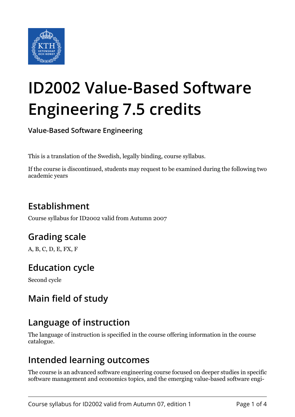

# **ID2002 Value-Based Software Engineering 7.5 credits**

**Value-Based Software Engineering**

This is a translation of the Swedish, legally binding, course syllabus.

If the course is discontinued, students may request to be examined during the following two academic years

# **Establishment**

Course syllabus for ID2002 valid from Autumn 2007

## **Grading scale**

A, B, C, D, E, FX, F

## **Education cycle**

Second cycle

## **Main field of study**

## **Language of instruction**

The language of instruction is specified in the course offering information in the course catalogue.

#### **Intended learning outcomes**

The course is an advanced software engineering course focused on deeper studies in specific software management and economics topics, and the emerging value-based software engi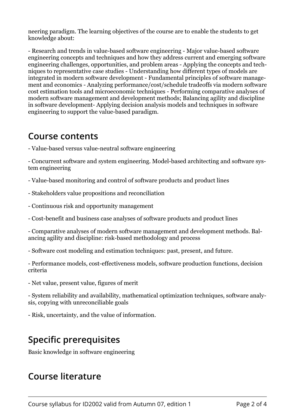neering paradigm. The learning objectives of the course are to enable the students to get knowledge about:

- Research and trends in value-based software engineering - Major value-based software engineering concepts and techniques and how they address current and emerging software engineering challenges, opportunities, and problem areas - Applying the concepts and techniques to representative case studies - Understanding how different types of models are integrated in modern software development - Fundamental principles of software management and economics - Analyzing performance/cost/schedule tradeoffs via modern software cost estimation tools and microeconomic techniques - Performing comparative analyses of modern software management and development methods; Balancing agility and discipline in software development- Applying decision analysis models and techniques in software engineering to support the value-based paradigm.

#### **Course contents**

- Value-based versus value-neutral software engineering

- Concurrent software and system engineering. Model-based architecting and software system engineering

- Value-based monitoring and control of software products and product lines
- Stakeholders value propositions and reconciliation
- Continuous risk and opportunity management
- Cost-benefit and business case analyses of software products and product lines

- Comparative analyses of modern software management and development methods. Balancing agility and discipline: risk-based methodology and process

- Software cost modeling and estimation techniques: past, present, and future.
- Performance models, cost-effectiveness models, software production functions, decision criteria
- Net value, present value, figures of merit

- System reliability and availability, mathematical optimization techniques, software analysis, copying with unreconciliable goals

- Risk, uncertainty, and the value of information.

#### **Specific prerequisites**

Basic knowledge in software engineering

#### **Course literature**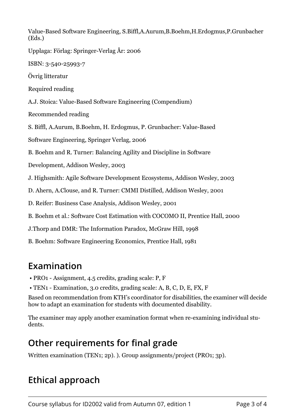Value-Based Software Engineering, S.Biffl,A.Aurum,B.Boehm,H.Erdogmus,P.Grunbacher (Eds.)

Upplaga: Förlag: Springer-Verlag År: 2006

ISBN: 3-540-25993-7

Övrig litteratur

Required reading

A.J. Stoica: Value-Based Software Engineering (Compendium)

Recommended reading

S. Biffl, A.Aurum, B.Boehm, H. Erdogmus, P. Grunbacher: Value-Based

Software Engineering, Springer Verlag, 2006

B. Boehm and R. Turner: Balancing Agility and Discipline in Software

Development, Addison Wesley, 2003

J. Highsmith: Agile Software Development Ecosystems, Addison Wesley, 2003

D. Ahern, A.Clouse, and R. Turner: CMMI Distilled, Addison Wesley, 2001

D. Reifer: Business Case Analysis, Addison Wesley, 2001

B. Boehm et al.: Software Cost Estimation with COCOMO II, Prentice Hall, 2000

J.Thorp and DMR: The Information Paradox, McGraw Hill, 1998

B. Boehm: Software Engineering Economics, Prentice Hall, 1981

#### **Examination**

- PRO1 Assignment, 4.5 credits, grading scale: P, F
- TEN1 Examination, 3.0 credits, grading scale: A, B, C, D, E, FX, F

Based on recommendation from KTH's coordinator for disabilities, the examiner will decide how to adapt an examination for students with documented disability.

The examiner may apply another examination format when re-examining individual students.

#### **Other requirements for final grade**

Written examination (TEN1; 2p). ). Group assignments/project (PRO1; 3p).

# **Ethical approach**